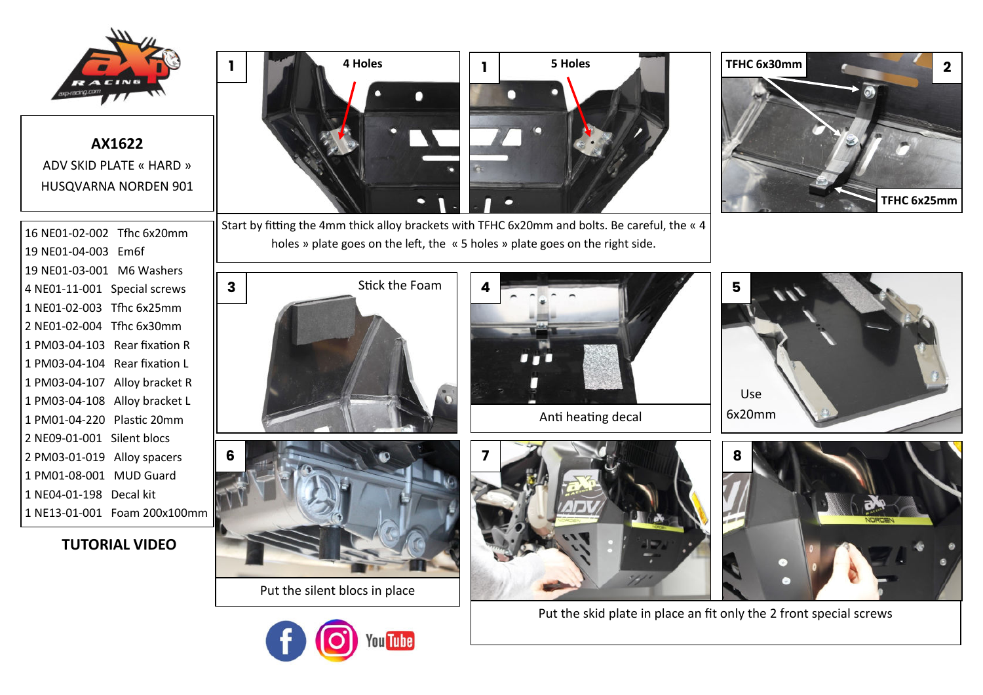

**AX1622** ADV SKID PLATE « HARD » HUSQVARNA NORDEN 901

16 NE01-02-002 Tfhc 6x20mm 19 NE01-04-003 Em6f 19 NE01-03-001 M6 Washers 4 NE01-11-001 Special screws 1 NE01-02-003 Tfhc 6x25mm 2 NE01-02-004 Tfhc 6x30mm 1 PM03-04-103 Rear fixation R 1 PM03-04-104 Rear fixation L 1 PM03-04-107 Alloy bracket R 1 PM03-04-108 Alloy bracket L 1 PM01-04-220 Plastic 20mm 2 NE09-01-001 Silent blocs 2 PM03-01-019 Alloy spacers 1 PM01-08-001 MUD Guard 1 NE04-01-198 Decal kit 1 NE13-01-001 Foam 200x100mm

**TUTORIAL VIDEO** 



Start by fitting the 4mm thick alloy brackets with TFHC 6x20mm and bolts. Be careful, the « 4 holes » plate goes on the left, the « 5 holes » plate goes on the right side.











Put the silent blocs in place







Put the skid plate in place an fit only the 2 front special screws